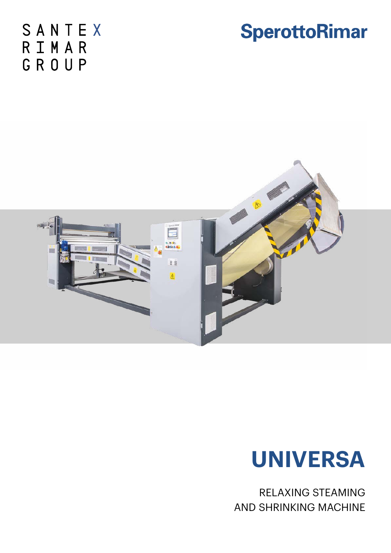SANTEX RIMAR GROUP







RELAXING STEAMING AND SHRINKING MACHINE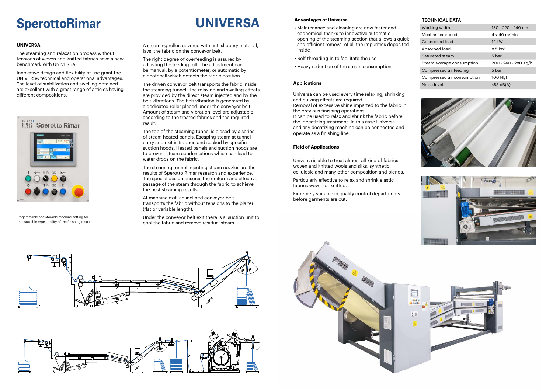### **SperottoRimar**

### **UNIVERSA**

The steaming and relaxation process without tensions of woven and knitted fabrics have a new benchmark with UNIVERSA

Innovative design and flexibility of use grant the UNIVERSA technical and operational advantages. The level of stabilization and swelling obtained are excellent with a great range of articles having different compositions.



A steaming roller, covered with anti slippery material, lays the fabric on the conveyor belt.

The right degree of overfeeding is assured by adjusting the feeding roll. The adjustment can be manual, by a potentiometer, or automatic by a photocell which detects the fabric position.

The driven conveyor belt transports the fabric inside the steaming tunnel. The relaxing and swelling effects are provided by the direct steam injected and by the belt vibrations. The belt vibration is generated by a dedicated roller placed under the conveyor belt. Amount of steam and vibration level are adjustable, according to the treated fabrics and the required result.

The top of the steaming tunnel is closed by a series of steam heated panels. Escaping steam at tunnel entry and exit is trapped and sucked by specific suction hoods. Heated panels and suction hoods are to prevent steam condensations which can lead to water drops on the fabric.

The steaming tunnel injecting steam nozzles are the results of Sperotto Rimar research and experience. The special design ensures the uniform and effective passage of the steam through the fabric to achieve the best steaming results.

At machine exit, an inclined conveyor belt transports the fabric without tensions to the plaiter (flat or variable length).

Under the conveyor belt exit there is a suction unit to cool the fabric and remove residual steam.

#### **Advantages of Universa**

- Maintenance and cleaning are now faster and economical thanks to innovative automatic opening of the steaming section that allows a quick and efficient removal of all the impurities deposited inside
- Self-threading-in to facilitate the use
- Heavy reduction of the steam consumption

#### **Applications**

Universa can be used every time relaxing, shrinking and bulking effects are required. Removal of excessive shine imparted to the fabric in the previous finishing operations. It can be used to relax and shrink the fabric before the decatizing treatment. In this case Universa and any decatizing machine can be connected and operate as a finishing line.

#### **Field of Applications**

Universa is able to treat almost all kind of fabrics: woven and knitted wools and silks, synthetic, cellulosic and many other composition and blends.

Particularly effective to relax and shrink elastic fabrics woven or knitted.

Extremely suitable in quality control departments before garments are cut.







#### TECHNICAL DATA

| Working width              | 180 - 220 - 240 cm   |
|----------------------------|----------------------|
| Mechanical speed           | $4 \div 40$ m/min    |
| Connected load             | 12 kW                |
| Absorbed load              | 8.5 kW               |
| Saturated steam            | 5 bar                |
| Steam average consumption  | 200 - 240 - 280 Kg/h |
| Compressed air feeding     | 5 bar                |
| Compressed air consumption | 100 NJ/h             |
| Noise level                | $< 85$ dB(A)         |





# **UNIVERSA**

Progammable and storable machine setting for unmistakable repeatability of the finishing results.